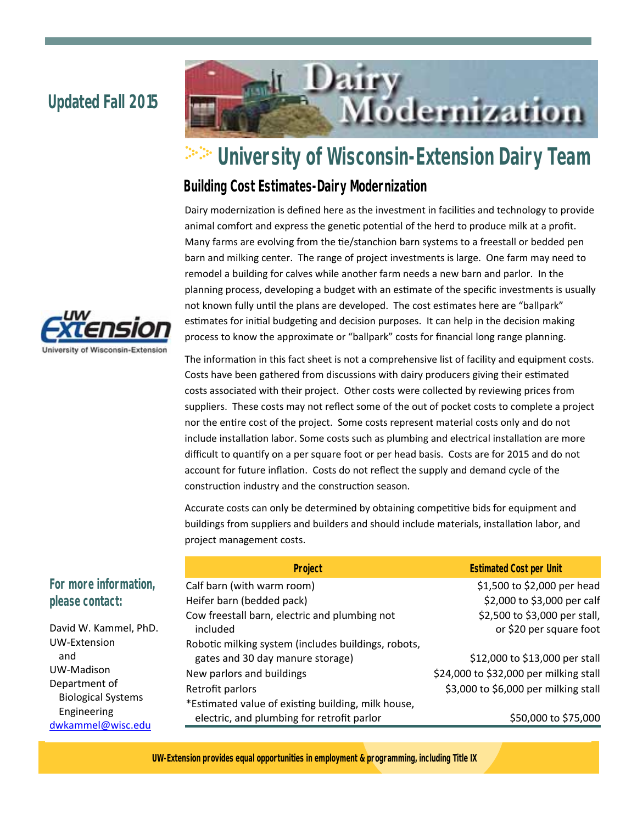## **Updated Fall 2015**



# **University of Wisconsin-Extension Dairy Team**

### **Building Cost Estimates-Dairy Modernization**

Dairy modernization is defined here as the investment in facilities and technology to provide animal comfort and express the genetic potential of the herd to produce milk at a profit. Many farms are evolving from the tie/stanchion barn systems to a freestall or bedded pen barn and milking center. The range of project investments is large. One farm may need to remodel a building for calves while another farm needs a new barn and parlor. In the planning process, developing a budget with an estimate of the specific investments is usually not known fully until the plans are developed. The cost estimates here are "ballpark" estimates for initial budgeting and decision purposes. It can help in the decision making process to know the approximate or "ballpark" costs for financial long range planning.

The information in this fact sheet is not a comprehensive list of facility and equipment costs. Costs have been gathered from discussions with dairy producers giving their estimated costs associated with their project. Other costs were collected by reviewing prices from suppliers. These costs may not reflect some of the out of pocket costs to complete a project nor the entire cost of the project. Some costs represent material costs only and do not include installation labor. Some costs such as plumbing and electrical installation are more difficult to quantify on a per square foot or per head basis. Costs are for 2015 and do not account for future inflation. Costs do not reflect the supply and demand cycle of the construction industry and the construction season.

Accurate costs can only be determined by obtaining competitive bids for equipment and buildings from suppliers and builders and should include materials, installation labor, and project management costs.

|                                  | <b>Project</b>                                      | <b>Estimated Cost per Unit</b>         |
|----------------------------------|-----------------------------------------------------|----------------------------------------|
| For more information,            | Calf barn (with warm room)                          | \$1,500 to \$2,000 per head            |
| please contact:                  | Heifer barn (bedded pack)                           | \$2,000 to \$3,000 per calf            |
|                                  | Cow freestall barn, electric and plumbing not       | \$2,500 to \$3,000 per stall,          |
| David W. Kammel, PhD.            | included                                            | or \$20 per square foot                |
| UW-Extension                     | Robotic milking system (includes buildings, robots, |                                        |
| and                              | gates and 30 day manure storage)                    | \$12,000 to \$13,000 per stall         |
| UW-Madison                       | New parlors and buildings                           | \$24,000 to \$32,000 per milking stall |
| Department of                    | Retrofit parlors                                    | \$3,000 to \$6,000 per milking stall   |
| <b>Biological Systems</b>        | *Estimated value of existing building, milk house,  |                                        |
| Engineering<br>dwkammel@wisc.edu | electric, and plumbing for retrofit parlor          | \$50,000 to \$75,000                   |



**UW-Extension provides equal opportunities in employment & programming, including Title IX**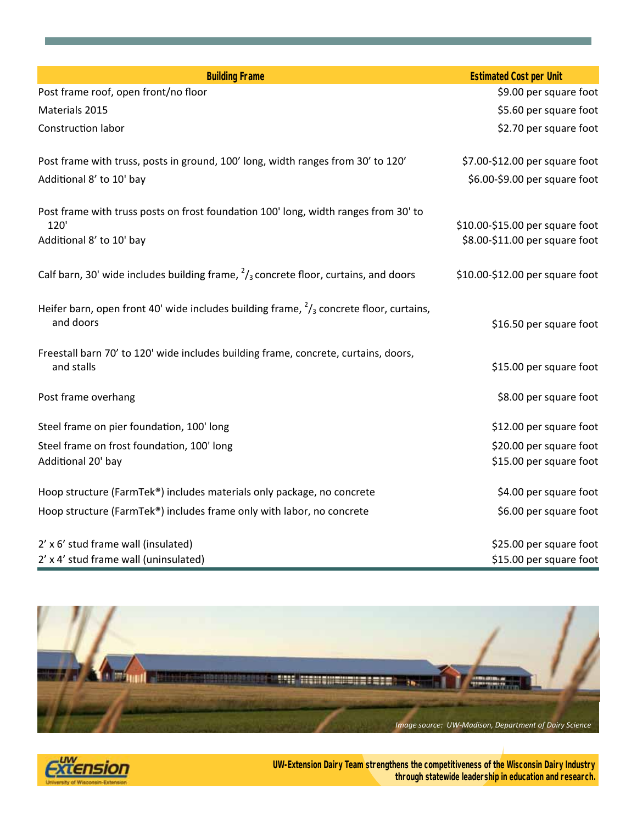| <b>Building Frame</b>                                                                                          | <b>Estimated Cost per Unit</b>  |
|----------------------------------------------------------------------------------------------------------------|---------------------------------|
| Post frame roof, open front/no floor                                                                           | \$9.00 per square foot          |
| Materials 2015                                                                                                 | \$5.60 per square foot          |
| Construction labor                                                                                             | \$2.70 per square foot          |
| Post frame with truss, posts in ground, 100' long, width ranges from 30' to 120'                               | \$7.00-\$12.00 per square foot  |
| Additional 8' to 10' bay                                                                                       | \$6.00-\$9.00 per square foot   |
| Post frame with truss posts on frost foundation 100' long, width ranges from 30' to                            |                                 |
| 120'                                                                                                           | \$10.00-\$15.00 per square foot |
| Additional 8' to 10' bay                                                                                       | \$8.00-\$11.00 per square foot  |
| Calf barn, 30' wide includes building frame, $\frac{2}{3}$ concrete floor, curtains, and doors                 | \$10.00-\$12.00 per square foot |
| Heifer barn, open front 40' wide includes building frame, $\frac{2}{3}$ concrete floor, curtains,<br>and doors | \$16.50 per square foot         |
| Freestall barn 70' to 120' wide includes building frame, concrete, curtains, doors,<br>and stalls              | \$15.00 per square foot         |
| Post frame overhang                                                                                            | \$8.00 per square foot          |
| Steel frame on pier foundation, 100' long                                                                      | \$12.00 per square foot         |
| Steel frame on frost foundation, 100' long                                                                     | \$20.00 per square foot         |
| Additional 20' bay                                                                                             | \$15.00 per square foot         |
| Hoop structure (FarmTek®) includes materials only package, no concrete                                         | \$4.00 per square foot          |
| Hoop structure (FarmTek®) includes frame only with labor, no concrete                                          | \$6.00 per square foot          |
| 2' x 6' stud frame wall (insulated)                                                                            | \$25.00 per square foot         |
| 2' x 4' stud frame wall (uninsulated)                                                                          | \$15.00 per square foot         |



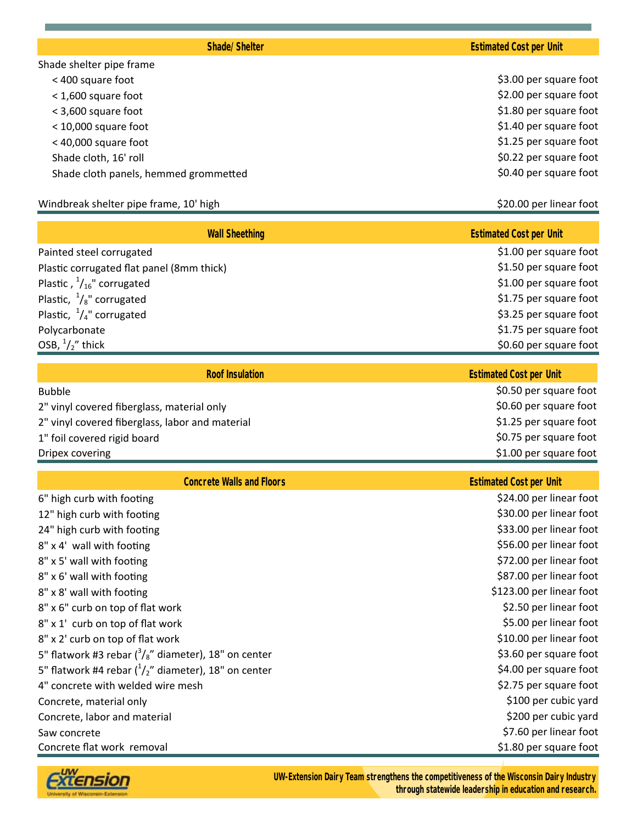Shade shelter pipe frame < 400 square foot \$3.00 per square foot < 1,600 square foot \$2.00 per square foot  $\leq$  3,600 square foot  $\leq$  3,600 square foot  $\leq$  10,000 square foot  $\leq$  10,000 square foot < 40,000 square foot \$1.25 per square foot Shade cloth, 16' roll \$0.22 per square foot Shade cloth panels, hemmed grommetted **\$0.40** per square foot

#### Windbreak shelter pipe frame, 10' high  $\blacklozenge$  by  $\blacklozenge$  and  $\blacklozenge$   $\blacklozenge$   $\blacklozenge$   $\blacklozenge$   $\blacklozenge$   $\blacklozenge$   $\blacklozenge$   $\blacklozenge$   $\blacklozenge$   $\blacklozenge$   $\blacklozenge$   $\blacklozenge$   $\blacklozenge$   $\blacklozenge$   $\blacklozenge$   $\blacklozenge$   $\blacklozenge$   $\blacklozenge$   $\blacklozenge$   $\blacklozenge$

| <b>Wall Sheething</b>                                         | <b>Estimated Cost per Unit</b> |
|---------------------------------------------------------------|--------------------------------|
| Painted steel corrugated                                      | \$1.00 per square foot         |
| Plastic corrugated flat panel (8mm thick)                     | \$1.50 per square foot         |
| Plastic, $\frac{1}{16}$ " corrugated                          | \$1.00 per square foot         |
| Plastic, $\frac{1}{8}$ " corrugated<br>\$1.75 per square foot |                                |
| Plastic, $\frac{1}{4}$ " corrugated                           | \$3.25 per square foot         |
| Polycarbonate                                                 | \$1.75 per square foot         |
| OSB, $\frac{1}{2}$ thick                                      | \$0.60 per square foot         |
|                                                               |                                |

| <b>Roof Insulation</b>                          | <b>Estimated Cost per Unit</b> |  |
|-------------------------------------------------|--------------------------------|--|
| <b>Bubble</b>                                   | \$0.50 per square foot         |  |
| 2" vinyl covered fiberglass, material only      | \$0.60 per square foot         |  |
| 2" vinyl covered fiberglass, labor and material | \$1.25 per square foot         |  |
| 1" foil covered rigid board                     | \$0.75 per square foot         |  |
| Dripex covering                                 | \$1.00 per square foot         |  |

| <b>Concrete Walls and Floors</b>                               | <b>Estimated Cost per Unit</b> |  |
|----------------------------------------------------------------|--------------------------------|--|
| 6" high curb with footing                                      | \$24.00 per linear foot        |  |
| 12" high curb with footing                                     | \$30.00 per linear foot        |  |
| 24" high curb with footing                                     | \$33.00 per linear foot        |  |
| 8" x 4' wall with footing                                      | \$56.00 per linear foot        |  |
| 8" x 5' wall with footing                                      | \$72.00 per linear foot        |  |
| 8" x 6' wall with footing                                      | \$87.00 per linear foot        |  |
| 8" x 8' wall with footing                                      | \$123.00 per linear foot       |  |
| 8" x 6" curb on top of flat work                               | \$2.50 per linear foot         |  |
| 8" x 1' curb on top of flat work                               | \$5.00 per linear foot         |  |
| 8" x 2' curb on top of flat work                               | \$10.00 per linear foot        |  |
| 5" flatwork #3 rebar $\binom{3}{8}$ " diameter), 18" on center | \$3.60 per square foot         |  |
| 5" flatwork #4 rebar $\binom{1}{2}$ " diameter), 18" on center | \$4.00 per square foot         |  |
| 4" concrete with welded wire mesh                              | \$2.75 per square foot         |  |
| Concrete, material only                                        | \$100 per cubic yard           |  |
| Concrete, labor and material                                   | \$200 per cubic yard           |  |
| Saw concrete                                                   | \$7.60 per linear foot         |  |
| Concrete flat work removal<br>\$1.80 per square foot           |                                |  |
|                                                                |                                |  |

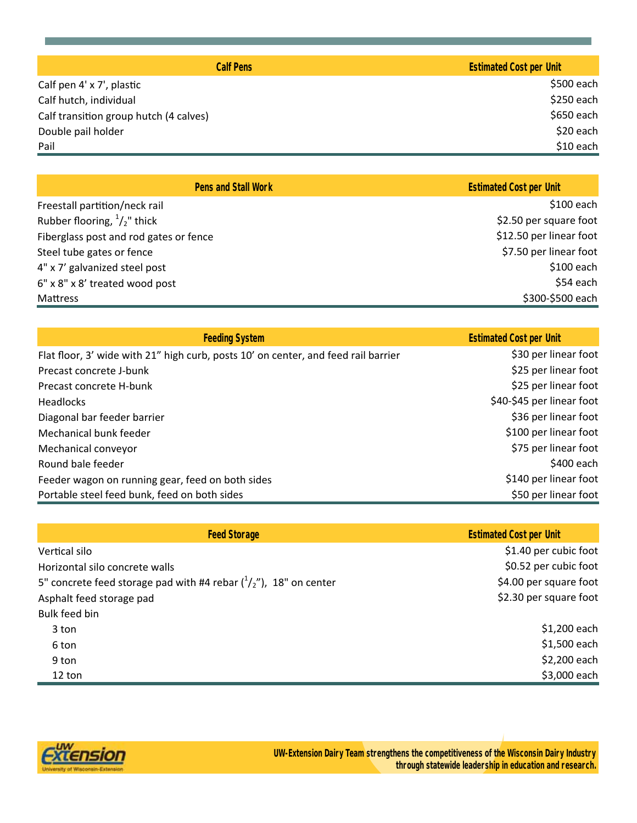| <b>Calf Pens</b>                       | <b>Estimated Cost per Unit</b> |  |
|----------------------------------------|--------------------------------|--|
| Calf pen 4' x 7', plastic              | \$500 each                     |  |
| Calf hutch, individual                 | \$250 each                     |  |
| Calf transition group hutch (4 calves) | \$650 each                     |  |
| Double pail holder                     | \$20 each                      |  |
| Pail                                   | $$10$ each                     |  |

| <b>Pens and Stall Work</b>             | <b>Estimated Cost per Unit</b> |
|----------------------------------------|--------------------------------|
| Freestall partition/neck rail          | $$100$ each                    |
| Rubber flooring, $\frac{1}{2}$ " thick | \$2.50 per square foot         |
| Fiberglass post and rod gates or fence | \$12.50 per linear foot        |
| Steel tube gates or fence              | \$7.50 per linear foot         |
| 4" x 7' galvanized steel post          | $$100$ each                    |
| 6" x 8" x 8' treated wood post         | \$54 each                      |
| Mattress                               | \$300-\$500 each               |

| <b>Feeding System</b>                                                              | <b>Estimated Cost per Unit</b> |
|------------------------------------------------------------------------------------|--------------------------------|
| Flat floor, 3' wide with 21" high curb, posts 10' on center, and feed rail barrier | \$30 per linear foot           |
| Precast concrete J-bunk                                                            | \$25 per linear foot           |
| Precast concrete H-bunk                                                            | \$25 per linear foot           |
| <b>Headlocks</b>                                                                   | \$40-\$45 per linear foot      |
| Diagonal bar feeder barrier                                                        | \$36 per linear foot           |
| Mechanical bunk feeder                                                             | \$100 per linear foot          |
| Mechanical conveyor                                                                | \$75 per linear foot           |
| Round bale feeder                                                                  | \$400 each                     |
| Feeder wagon on running gear, feed on both sides                                   | \$140 per linear foot          |
| Portable steel feed bunk, feed on both sides                                       | \$50 per linear foot           |

| <b>Feed Storage</b>                                                        | <b>Estimated Cost per Unit</b> |
|----------------------------------------------------------------------------|--------------------------------|
| Vertical silo                                                              | \$1.40 per cubic foot          |
| Horizontal silo concrete walls                                             | \$0.52 per cubic foot          |
| 5" concrete feed storage pad with #4 rebar $\binom{1}{2}$ ", 18" on center | \$4.00 per square foot         |
| Asphalt feed storage pad                                                   | \$2.30 per square foot         |
| Bulk feed bin                                                              |                                |
| 3 ton                                                                      | \$1,200 each                   |
| 6 ton                                                                      | \$1,500 each                   |
| 9 ton                                                                      | \$2,200 each                   |
| 12 ton                                                                     | \$3,000 each                   |

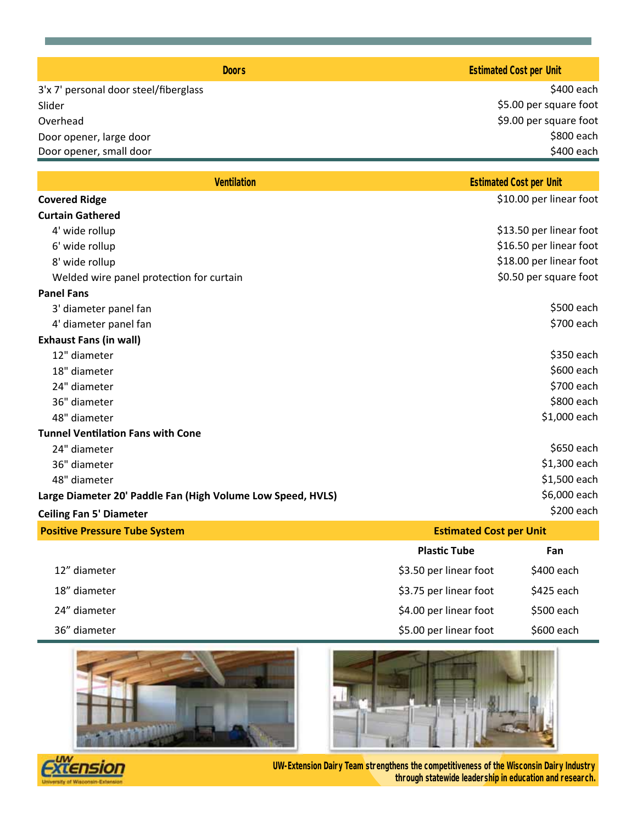| Doors                                 | <b>Estimated Cost per Unit</b> |  |
|---------------------------------------|--------------------------------|--|
| 3'x 7' personal door steel/fiberglass | \$400 each                     |  |
| Slider                                | \$5.00 per square foot         |  |
| Overhead                              | \$9.00 per square foot         |  |
| Door opener, large door               | \$800 each                     |  |
| Door opener, small door               |                                |  |
|                                       |                                |  |

| <b>Ventilation</b>                                          | <b>Estimated Cost per Unit</b> |  |
|-------------------------------------------------------------|--------------------------------|--|
| <b>Covered Ridge</b>                                        | \$10.00 per linear foot        |  |
| <b>Curtain Gathered</b>                                     |                                |  |
| 4' wide rollup                                              | \$13.50 per linear foot        |  |
| 6' wide rollup                                              | \$16.50 per linear foot        |  |
| 8' wide rollup                                              | \$18.00 per linear foot        |  |
| Welded wire panel protection for curtain                    | \$0.50 per square foot         |  |
| <b>Panel Fans</b>                                           |                                |  |
| 3' diameter panel fan                                       | \$500 each                     |  |
| 4' diameter panel fan                                       | \$700 each                     |  |
| <b>Exhaust Fans (in wall)</b>                               |                                |  |
| 12" diameter                                                | \$350 each                     |  |
| 18" diameter                                                | \$600 each                     |  |
| 24" diameter                                                | \$700 each                     |  |
| 36" diameter                                                | \$800 each                     |  |
| 48" diameter                                                | \$1,000 each                   |  |
| <b>Tunnel Ventilation Fans with Cone</b>                    |                                |  |
| 24" diameter                                                | \$650 each                     |  |
| 36" diameter                                                | \$1,300 each                   |  |
| 48" diameter                                                | \$1,500 each                   |  |
| Large Diameter 20' Paddle Fan (High Volume Low Speed, HVLS) | \$6,000 each                   |  |
| <b>Ceiling Fan 5' Diameter</b>                              | $$200$ each                    |  |
| <b>Positive Pressure Tube System</b>                        | <b>Estimated Cost per Unit</b> |  |

| Production of the cooperation of the cooperation of the cooperation of the cooperation of the cooperation of the cooperation of the cooperation of the cooperation of the cooperation of the cooperation of the cooperation of |                        | <u>Estimated cost per omit</u> |  |
|--------------------------------------------------------------------------------------------------------------------------------------------------------------------------------------------------------------------------------|------------------------|--------------------------------|--|
|                                                                                                                                                                                                                                | <b>Plastic Tube</b>    | Fan                            |  |
| 12" diameter                                                                                                                                                                                                                   | \$3.50 per linear foot | $$400$ each                    |  |
| 18" diameter                                                                                                                                                                                                                   | \$3.75 per linear foot | \$425 each                     |  |
| 24" diameter                                                                                                                                                                                                                   | \$4.00 per linear foot | \$500 each                     |  |
| 36" diameter                                                                                                                                                                                                                   | \$5.00 per linear foot | \$600 each                     |  |